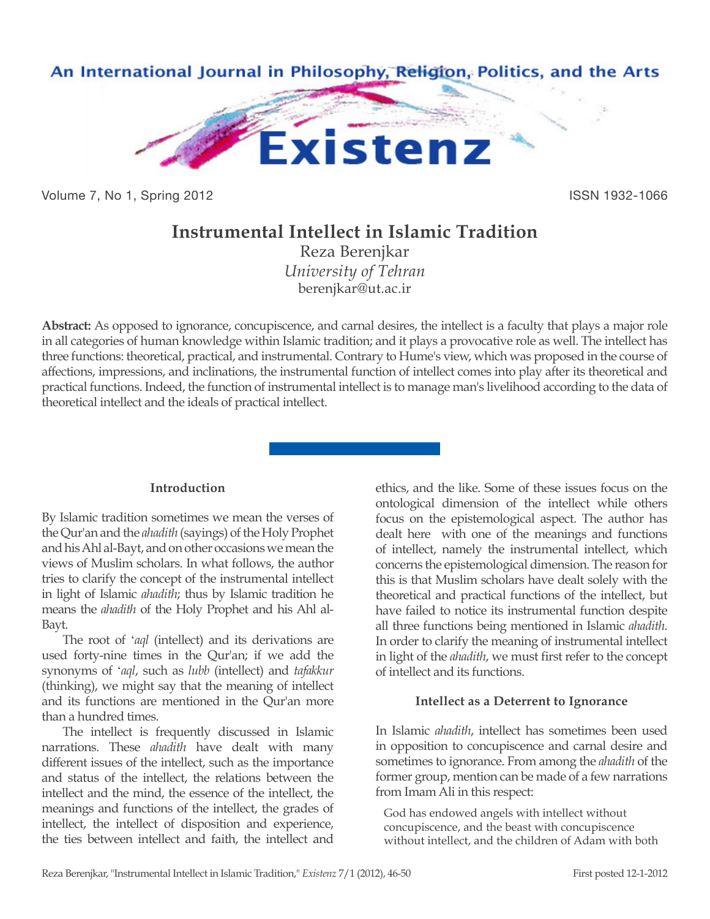

Volume 7, No 1, Spring 2012 **ISSN 1932-1066** 

# **Instrumental Intellect in Islamic Tradition**

Reza Berenjkar *University of Tehran* berenjkar@ut.ac.ir

**Abstract:** As opposed to ignorance, concupiscence, and carnal desires, the intellect is a faculty that plays a major role in all categories of human knowledge within Islamic tradition; and it plays a provocative role as well. The intellect has three functions: theoretical, practical, and instrumental. Contrary to Hume's view, which was proposed in the course of affections, impressions, and inclinations, the instrumental function of intellect comes into play after its theoretical and practical functions. Indeed, the function of instrumental intellect is to manage man's livelihood according to the data of theoretical intellect and the ideals of practical intellect.

### **Introduction**

By Islamic tradition sometimes we mean the verses of the Qur'an and the *ahadith* (sayings) of the Holy Prophet and his Ahl al-Bayt, and on other occasions we mean the views of Muslim scholars. In what follows, the author tries to clarify the concept of the instrumental intellect in light of Islamic *ahadith*; thus by Islamic tradition he means the *ahadith* of the Holy Prophet and his Ahl al-Bayt.

The root of '*aql* (intellect) and its derivations are used forty-nine times in the Qur'an; if we add the synonyms of '*aql*, such as *lubb* (intellect) and *tafakkur* (thinking), we might say that the meaning of intellect and its functions are mentioned in the Qur'an more than a hundred times.

The intellect is frequently discussed in Islamic narrations. These *ahadith* have dealt with many different issues of the intellect, such as the importance and status of the intellect, the relations between the intellect and the mind, the essence of the intellect, the meanings and functions of the intellect, the grades of intellect, the intellect of disposition and experience, the ties between intellect and faith, the intellect and ethics, and the like. Some of these issues focus on the ontological dimension of the intellect while others focus on the epistemological aspect. The author has dealt here with one of the meanings and functions of intellect, namely the instrumental intellect, which concerns the epistemological dimension. The reason for this is that Muslim scholars have dealt solely with the theoretical and practical functions of the intellect, but have failed to notice its instrumental function despite all three functions being mentioned in Islamic *ahadith*. In order to clarify the meaning of instrumental intellect in light of the *ahadith*, we must first refer to the concept of intellect and its functions.

# **Intellect as a Deterrent to Ignorance**

In Islamic *ahadith*, intellect has sometimes been used in opposition to concupiscence and carnal desire and sometimes to ignorance. From among the *ahadith* of the former group, mention can be made of a few narrations from Imam Ali in this respect:

God has endowed angels with intellect without concupiscence, and the beast with concupiscence without intellect, and the children of Adam with both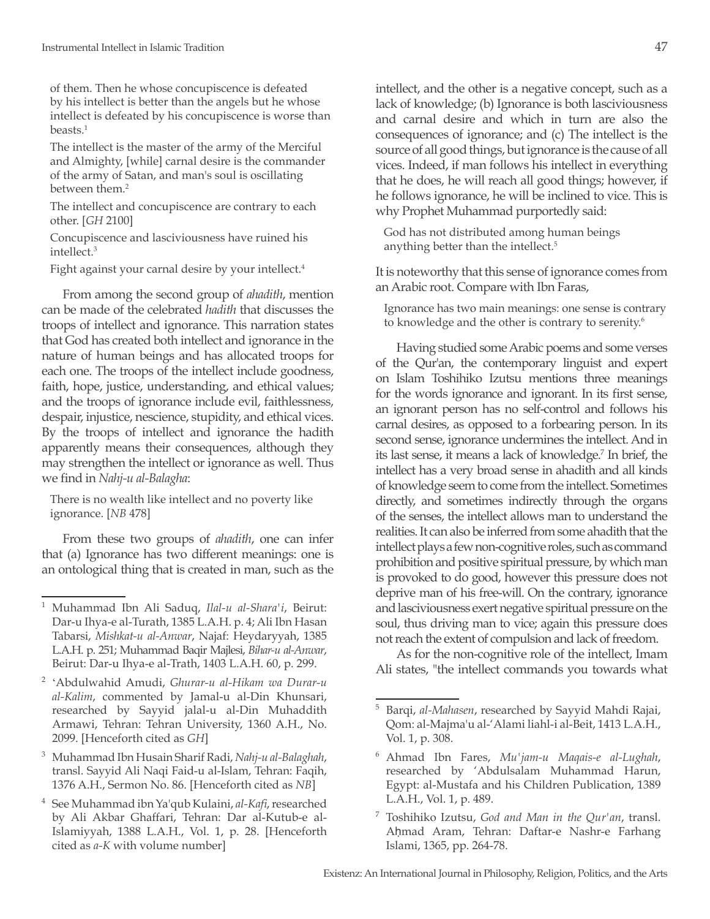of them. Then he whose concupiscence is defeated by his intellect is better than the angels but he whose intellect is defeated by his concupiscence is worse than beasts.1

The intellect is the master of the army of the Merciful and Almighty, [while] carnal desire is the commander of the army of Satan, and man's soul is oscillating between them.<sup>2</sup>

The intellect and concupiscence are contrary to each other. [*GH* 2100]

Concupiscence and lasciviousness have ruined his intellect.3

Fight against your carnal desire by your intellect.<sup>4</sup>

From among the second group of *ahadith*, mention can be made of the celebrated *hadith* that discusses the troops of intellect and ignorance. This narration states that God has created both intellect and ignorance in the nature of human beings and has allocated troops for each one. The troops of the intellect include goodness, faith, hope, justice, understanding, and ethical values; and the troops of ignorance include evil, faithlessness, despair, injustice, nescience, stupidity, and ethical vices. By the troops of intellect and ignorance the hadith apparently means their consequences, although they may strengthen the intellect or ignorance as well. Thus we find in *Nahj-u al-Balagha*:

There is no wealth like intellect and no poverty like ignorance. [*NB* 478]

From these two groups of *ahadith*, one can infer that (a) Ignorance has two different meanings: one is an ontological thing that is created in man, such as the intellect, and the other is a negative concept, such as a lack of knowledge; (b) Ignorance is both lasciviousness and carnal desire and which in turn are also the consequences of ignorance; and (c) The intellect is the source of all good things, but ignorance is the cause of all vices. Indeed, if man follows his intellect in everything that he does, he will reach all good things; however, if he follows ignorance, he will be inclined to vice. This is why Prophet Muhammad purportedly said:

God has not distributed among human beings anything better than the intellect.<sup>5</sup>

It is noteworthy that this sense of ignorance comes from an Arabic root. Compare with Ibn Faras,

Ignorance has two main meanings: one sense is contrary to knowledge and the other is contrary to serenity.<sup>6</sup>

Having studied some Arabic poems and some verses of the Qur'an, the contemporary linguist and expert on Islam Toshihiko Izutsu mentions three meanings for the words ignorance and ignorant. In its first sense, an ignorant person has no self-control and follows his carnal desires, as opposed to a forbearing person. In its second sense, ignorance undermines the intellect. And in its last sense, it means a lack of knowledge.7 In brief, the intellect has a very broad sense in ahadith and all kinds of knowledge seem to come from the intellect. Sometimes directly, and sometimes indirectly through the organs of the senses, the intellect allows man to understand the realities. It can also be inferred from some ahadith that the intellect plays a few non-cognitive roles, such as command prohibition and positive spiritual pressure, by which man is provoked to do good, however this pressure does not deprive man of his free-will. On the contrary, ignorance and lasciviousness exert negative spiritual pressure on the soul, thus driving man to vice; again this pressure does not reach the extent of compulsion and lack of freedom.

As for the non-cognitive role of the intellect, Imam Ali states, "the intellect commands you towards what

<sup>1</sup> Muhammad Ibn Ali Saduq, *Ilal-u al-Shara'i*, Beirut: Dar-u Ihya-e al-Turath, 1385 L.A.H. p. 4; Ali Ibn Hasan Tabarsi, *Mishkat-u al-Anwar*, Najaf: Heydaryyah, 1385 L.A.H. p. 251; Muhammad Baqir Majlesi, *Bihar-u al-Anwar*, Beirut: Dar-u Ihya-e al-Trath, 1403 L.A.H. 60, p. 299.

<sup>2</sup>'Abdulwahid Amudi, *Ghurar-u al-Hikam wa Durar-u al-Kalim*, commented by Jamal-u al-Din Khunsari, researched by Sayyid jalal-u al-Din Muhaddith Armawi, Tehran: Tehran University, 1360 A.H., No. 2099. [Henceforth cited as *GH*]

<sup>3</sup> Muhammad Ibn Husain Sharif Radi, *Nahj-u al-Balaghah*, transl. Sayyid Ali Naqi Faid-u al-Islam, Tehran: Faqih, 1376 A.H., Sermon No. 86. [Henceforth cited as *NB*]

<sup>4</sup> See Muhammad ibn Ya'qub Kulaini, *al-Kafi*, researched by Ali Akbar Ghaffari, Tehran: Dar al-Kutub-e al-Islamiyyah, 1388 L.A.H., Vol. 1, p. 28. [Henceforth cited as *a-K* with volume number]

<sup>5</sup> Barqi, *al-Mahasen*, researched by Sayyid Mahdi Rajai, Qom: al-Majma'u al-'Alami liahl-i al-Beit, 1413 L.A.H., Vol. 1, p. 308.

<sup>6</sup> Ahmad Ibn Fares, *Mu'jam-u Maqais-e al-Lughah*, researched by 'Abdulsalam Muhammad Harun, Egypt: al-Mustafa and his Children Publication, 1389 L.A.H., Vol. 1, p. 489.

<sup>7</sup> Toshihiko Izutsu, *God and Man in the Qur'an*, transl. Aḥmad Aram, Tehran: Daftar-e Nashr-e Farhang Islami, 1365, pp. 264-78.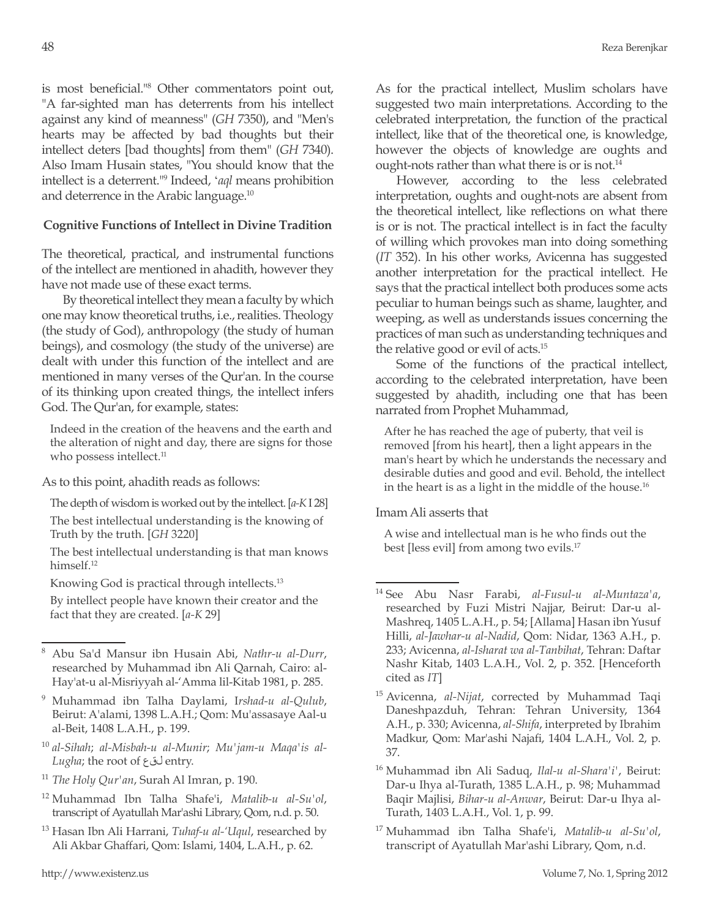is most beneficial."<sup>8</sup> Other commentators point out, "A far-sighted man has deterrents from his intellect against any kind of meanness" (*GH* 7350), and "Men's hearts may be affected by bad thoughts but their intellect deters [bad thoughts] from them" (*GH* 7340). Also Imam Husain states, "You should know that the intellect is a deterrent."9 Indeed, '*aql* means prohibition and deterrence in the Arabic language.10

## **Cognitive Functions of Intellect in Divine Tradition**

The theoretical, practical, and instrumental functions of the intellect are mentioned in ahadith, however they have not made use of these exact terms.

By theoretical intellect they mean a faculty by which one may know theoretical truths, i.e., realities. Theology (the study of God), anthropology (the study of human beings), and cosmology (the study of the universe) are dealt with under this function of the intellect and are mentioned in many verses of the Qur'an. In the course of its thinking upon created things, the intellect infers God. The Qur'an, for example, states:

Indeed in the creation of the heavens and the earth and the alteration of night and day, there are signs for those who possess intellect.<sup>11</sup>

As to this point, ahadith reads as follows:

The depth of wisdom is worked out by the intellect. [*a-K* I 28] The best intellectual understanding is the knowing of Truth by the truth. [*GH* 3220]

The best intellectual understanding is that man knows himself.<sup>12</sup>

Knowing God is practical through intellects.13

By intellect people have known their creator and the fact that they are created. [*a-K* 29]

- <sup>11</sup> *The Holy Qur'an*, Surah Al Imran, p. 190.
- <sup>12</sup> Muhammad Ibn Talha Shafe'i, *Matalib-u al-Su'ol*, transcript of Ayatullah Mar'ashi Library, Qom, n.d. p. 50.
- <sup>13</sup> Hasan Ibn Ali Harrani, *Tuhaf-u al-'Uqul*, researched by Ali Akbar Ghaffari, Qom: Islami, 1404, L.A.H., p. 62.

As for the practical intellect, Muslim scholars have suggested two main interpretations. According to the celebrated interpretation, the function of the practical intellect, like that of the theoretical one, is knowledge, however the objects of knowledge are oughts and ought-nots rather than what there is or is not.<sup>14</sup>

However, according to the less celebrated interpretation, oughts and ought-nots are absent from the theoretical intellect, like reflections on what there is or is not. The practical intellect is in fact the faculty of willing which provokes man into doing something (*IT* 352). In his other works, Avicenna has suggested another interpretation for the practical intellect. He says that the practical intellect both produces some acts peculiar to human beings such as shame, laughter, and weeping, as well as understands issues concerning the practices of man such as understanding techniques and the relative good or evil of acts.15

Some of the functions of the practical intellect, according to the celebrated interpretation, have been suggested by ahadith, including one that has been narrated from Prophet Muhammad,

After he has reached the age of puberty, that veil is removed [from his heart], then a light appears in the man's heart by which he understands the necessary and desirable duties and good and evil. Behold, the intellect in the heart is as a light in the middle of the house.<sup>16</sup>

### Imam Ali asserts that

A wise and intellectual man is he who finds out the best [less evil] from among two evils.<sup>17</sup>

- <sup>16</sup> Muhammad ibn Ali Saduq, *Ilal-u al-Shara'i'*, Beirut: Dar-u Ihya al-Turath, 1385 L.A.H., p. 98; Muhammad Baqir Majlisi, *Bihar-u al-Anwar*, Beirut: Dar-u Ihya al-Turath, 1403 L.A.H., Vol. 1, p. 99.
- <sup>17</sup> Muhammad ibn Talha Shafe'i, *Matalib-u al-Su'ol*, transcript of Ayatullah Mar'ashi Library, Qom, n.d.

<sup>8</sup> Abu Sa'd Mansur ibn Husain Abi, *Nathr-u al-Durr*, researched by Muhammad ibn Ali Qarnah, Cairo: al-Hay'at-u al-Misriyyah al-'Amma lil-Kitab 1981, p. 285.

<sup>9</sup> Muhammad ibn Talha Daylami, I*rshad-u al-Qulub*, Beirut: A'alami, 1398 L.A.H.; Qom: Mu'assasaye Aal-u al-Beit, 1408 L.A.H., p. 199.

<sup>10</sup> *al-Sihah*; *al-Misbah-u al-Munir*; *Mu'jam-u Maqa'is al-Lugha*; the root of لقع entry.

<sup>14</sup> See Abu Nasr Farabi, *al-Fusul-u al-Muntaza'a*, researched by Fuzi Mistri Najjar, Beirut: Dar-u al-Mashreq, 1405 L.A.H., p. 54; [Allama] Hasan ibn Yusuf Hilli, *al-Jawhar-u al-Nadid*, Qom: Nidar, 1363 A.H., p. 233; Avicenna, *al-Isharat wa al-Tanbihat*, Tehran: Daftar Nashr Kitab, 1403 L.A.H., Vol. 2, p. 352. [Henceforth cited as *IT*]

<sup>15</sup> Avicenna, *al-Nijat*, corrected by Muhammad Taqi Daneshpazduh, Tehran: Tehran University, 1364 A.H., p. 330; Avicenna, *al-Shifa*, interpreted by Ibrahim Madkur, Qom: Mar'ashi Najafi, 1404 L.A.H., Vol. 2, p. 37.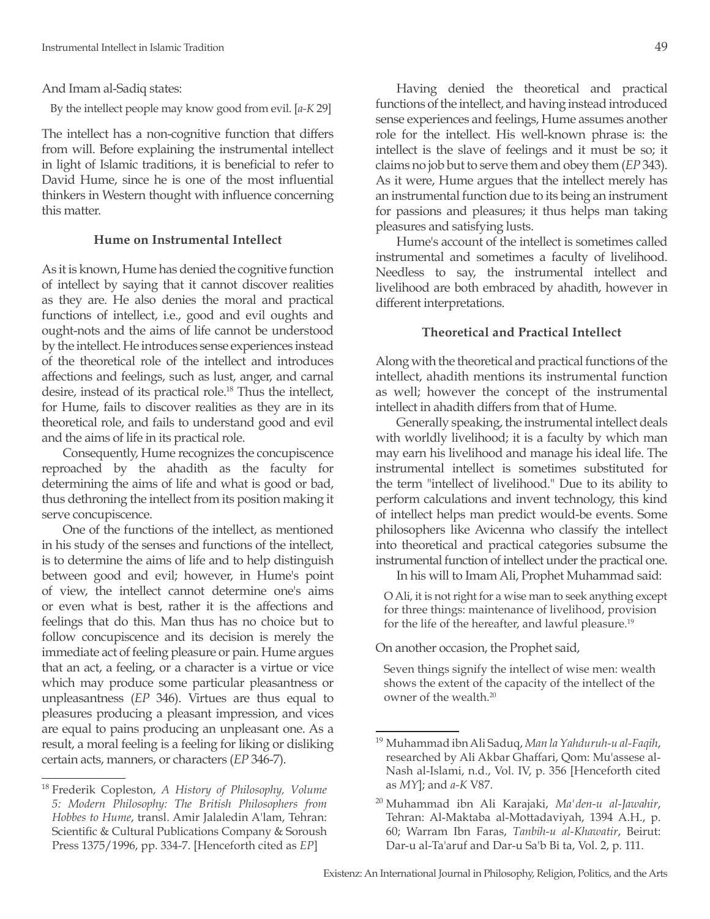#### And Imam al-Sadiq states:

By the intellect people may know good from evil. [*a-K* 29]

The intellect has a non-cognitive function that differs from will. Before explaining the instrumental intellect in light of Islamic traditions, it is beneficial to refer to David Hume, since he is one of the most influential thinkers in Western thought with influence concerning this matter.

#### **Hume on Instrumental Intellect**

As it is known, Hume has denied the cognitive function of intellect by saying that it cannot discover realities as they are. He also denies the moral and practical functions of intellect, i.e., good and evil oughts and ought-nots and the aims of life cannot be understood by the intellect. He introduces sense experiences instead of the theoretical role of the intellect and introduces affections and feelings, such as lust, anger, and carnal desire, instead of its practical role.<sup>18</sup> Thus the intellect, for Hume, fails to discover realities as they are in its theoretical role, and fails to understand good and evil and the aims of life in its practical role.

Consequently, Hume recognizes the concupiscence reproached by the ahadith as the faculty for determining the aims of life and what is good or bad, thus dethroning the intellect from its position making it serve concupiscence.

One of the functions of the intellect, as mentioned in his study of the senses and functions of the intellect, is to determine the aims of life and to help distinguish between good and evil; however, in Hume's point of view, the intellect cannot determine one's aims or even what is best, rather it is the affections and feelings that do this. Man thus has no choice but to follow concupiscence and its decision is merely the immediate act of feeling pleasure or pain. Hume argues that an act, a feeling, or a character is a virtue or vice which may produce some particular pleasantness or unpleasantness (*EP* 346). Virtues are thus equal to pleasures producing a pleasant impression, and vices are equal to pains producing an unpleasant one. As a result, a moral feeling is a feeling for liking or disliking certain acts, manners, or characters (*EP* 346-7).

Having denied the theoretical and practical functions of the intellect, and having instead introduced sense experiences and feelings, Hume assumes another role for the intellect. His well-known phrase is: the intellect is the slave of feelings and it must be so; it claims no job but to serve them and obey them (*EP* 343). As it were, Hume argues that the intellect merely has an instrumental function due to its being an instrument for passions and pleasures; it thus helps man taking pleasures and satisfying lusts.

Hume's account of the intellect is sometimes called instrumental and sometimes a faculty of livelihood. Needless to say, the instrumental intellect and livelihood are both embraced by ahadith, however in different interpretations.

#### **Theoretical and Practical Intellect**

Along with the theoretical and practical functions of the intellect, ahadith mentions its instrumental function as well; however the concept of the instrumental intellect in ahadith differs from that of Hume.

Generally speaking, the instrumental intellect deals with worldly livelihood; it is a faculty by which man may earn his livelihood and manage his ideal life. The instrumental intellect is sometimes substituted for the term "intellect of livelihood." Due to its ability to perform calculations and invent technology, this kind of intellect helps man predict would-be events. Some philosophers like Avicenna who classify the intellect into theoretical and practical categories subsume the instrumental function of intellect under the practical one.

In his will to Imam Ali, Prophet Muhammad said:

O Ali, it is not right for a wise man to seek anything except for three things: maintenance of livelihood, provision for the life of the hereafter, and lawful pleasure.19

On another occasion, the Prophet said,

Seven things signify the intellect of wise men: wealth shows the extent of the capacity of the intellect of the owner of the wealth.20

<sup>18</sup> Frederik Copleston, *A History of Philosophy, Volume 5: Modern Philosophy: The British Philosophers from Hobbes to Hume*, transl. Amir Jalaledin A'lam, Tehran: Scientific & Cultural Publications Company & Soroush Press 1375/1996, pp. 334-7. [Henceforth cited as *EP*]

<sup>19</sup> Muhammad ibn Ali Saduq, *Man la Yahduruh-u al-Faqih*, researched by Ali Akbar Ghaffari, Qom: Mu'assese al-Nash al-Islami, n.d., Vol. IV, p. 356 [Henceforth cited as *MY*]; and *a-K* V87.

<sup>20</sup> Muhammad ibn Ali Karajaki, *Ma'den-u al-Jawahir*, Tehran: Al-Maktaba al-Mottadaviyah, 1394 A.H., p. 60; Warram Ibn Faras, *Tanbih-u al-Khawatir*, Beirut: Dar-u al-Ta'aruf and Dar-u Sa'b Bi ta, Vol. 2, p. 111.